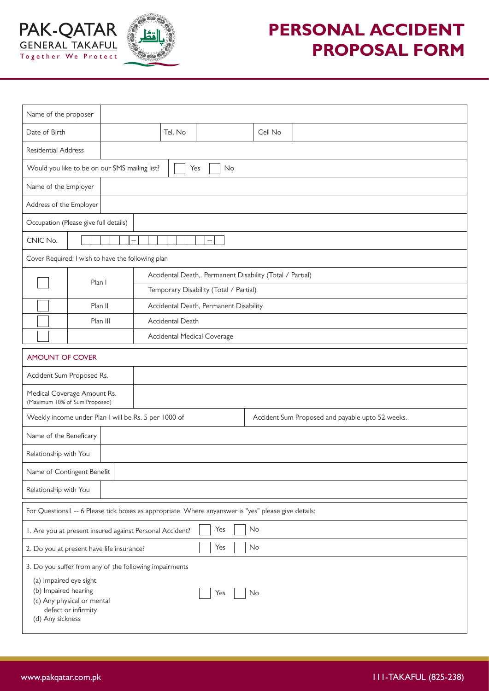



## **PERSONAL ACCIDENT PROPOSAL FORM**

| Name of the proposer                                                                                                                                                                           |          |                                                           |         |                                                  |  |
|------------------------------------------------------------------------------------------------------------------------------------------------------------------------------------------------|----------|-----------------------------------------------------------|---------|--------------------------------------------------|--|
| Date of Birth                                                                                                                                                                                  |          | Tel. No                                                   | Cell No |                                                  |  |
| <b>Residential Address</b>                                                                                                                                                                     |          |                                                           |         |                                                  |  |
| Would you like to be on our SMS mailing list?<br>No<br>Yes                                                                                                                                     |          |                                                           |         |                                                  |  |
| Name of the Employer                                                                                                                                                                           |          |                                                           |         |                                                  |  |
| Address of the Employer                                                                                                                                                                        |          |                                                           |         |                                                  |  |
| Occupation (Please give full details)                                                                                                                                                          |          |                                                           |         |                                                  |  |
| CNIC No.<br>-                                                                                                                                                                                  |          |                                                           |         |                                                  |  |
| Cover Required: I wish to have the following plan                                                                                                                                              |          |                                                           |         |                                                  |  |
|                                                                                                                                                                                                | Plan I   | Accidental Death,. Permanent Disability (Total / Partial) |         |                                                  |  |
|                                                                                                                                                                                                |          | Temporary Disability (Total / Partial)                    |         |                                                  |  |
|                                                                                                                                                                                                | Plan II  | Accidental Death, Permanent Disability                    |         |                                                  |  |
|                                                                                                                                                                                                | Plan III | Accidental Death                                          |         |                                                  |  |
|                                                                                                                                                                                                |          | Accidental Medical Coverage                               |         |                                                  |  |
| <b>AMOUNT OF COVER</b>                                                                                                                                                                         |          |                                                           |         |                                                  |  |
| Accident Sum Proposed Rs.                                                                                                                                                                      |          |                                                           |         |                                                  |  |
| Medical Coverage Amount Rs.<br>(Maximum 10% of Sum Proposed)                                                                                                                                   |          |                                                           |         |                                                  |  |
| Weekly income under Plan-I will be Rs. 5 per 1000 of                                                                                                                                           |          |                                                           |         | Accident Sum Proposed and payable upto 52 weeks. |  |
| Name of the Beneficary                                                                                                                                                                         |          |                                                           |         |                                                  |  |
| Relationship with You                                                                                                                                                                          |          |                                                           |         |                                                  |  |
| Name of Contingent Benefit                                                                                                                                                                     |          |                                                           |         |                                                  |  |
| Relationship with You                                                                                                                                                                          |          |                                                           |         |                                                  |  |
| For Questions I -- 6 Please tick boxes as appropriate. Where anyanswer is "yes" please give details:                                                                                           |          |                                                           |         |                                                  |  |
| Yes<br>No<br>I. Are you at present insured against Personal Accident?                                                                                                                          |          |                                                           |         |                                                  |  |
| No<br>Yes<br>2. Do you at present have life insurance?                                                                                                                                         |          |                                                           |         |                                                  |  |
| 3. Do you suffer from any of the following impairments<br>(a) Impaired eye sight<br>(b) Impaired hearing<br>No<br>Yes<br>(c) Any physical or mental<br>defect or infirmity<br>(d) Any sickness |          |                                                           |         |                                                  |  |